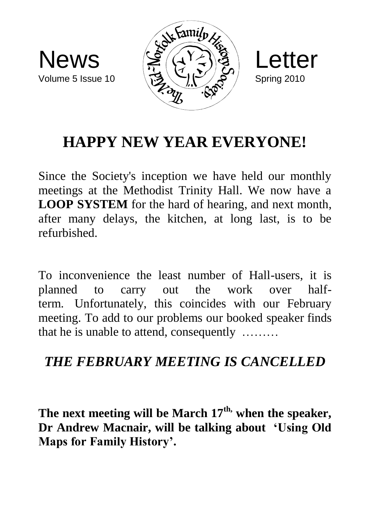





## **HAPPY NEW YEAR EVERYONE!**

Since the Society's inception we have held our monthly meetings at the Methodist Trinity Hall. We now have a **LOOP SYSTEM** for the hard of hearing, and next month, after many delays, the kitchen, at long last, is to be refurbished.

To inconvenience the least number of Hall-users, it is planned to carry out the work over halfterm. Unfortunately, this coincides with our February meeting. To add to our problems our booked speaker finds that he is unable to attend, consequently ………

## *THE FEBRUARY MEETING IS CANCELLED*

**The next meeting will be March 17th, when the speaker, Dr Andrew Macnair, will be talking about 'Using Old Maps for Family History'.**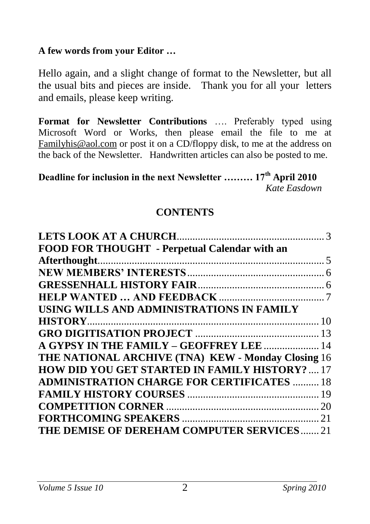#### **A few words from your Editor …**

Hello again, and a slight change of format to the Newsletter, but all the usual bits and pieces are inside. Thank you for all your letters and emails, please keep writing.

**Format for Newsletter Contributions** …. Preferably typed using Microsoft Word or Works, then please email the file to me at [Familyhis@aol.com](mailto:Familyhis@aol.com) or post it on a CD/floppy disk, to me at the address on the back of the Newsletter. Handwritten articles can also be posted to me.

**Deadline for inclusion in the next Newsletter ……… 17th April 2010**  *Kate Easdown*

#### **CONTENTS**

| FOOD FOR THOUGHT - Perpetual Calendar with an         |  |
|-------------------------------------------------------|--|
| Afterthought.                                         |  |
|                                                       |  |
|                                                       |  |
|                                                       |  |
| USING WILLS AND ADMINISTRATIONS IN FAMILY             |  |
|                                                       |  |
|                                                       |  |
| A GYPSY IN THE FAMILY - GEOFFREY LEE  14              |  |
| THE NATIONAL ARCHIVE (TNA) KEW - Monday Closing 16    |  |
| <b>HOW DID YOU GET STARTED IN FAMILY HISTORY?  17</b> |  |
| <b>ADMINISTRATION CHARGE FOR CERTIFICATES  18</b>     |  |
|                                                       |  |
|                                                       |  |
|                                                       |  |
| THE DEMISE OF DEREHAM COMPUTER SERVICES21             |  |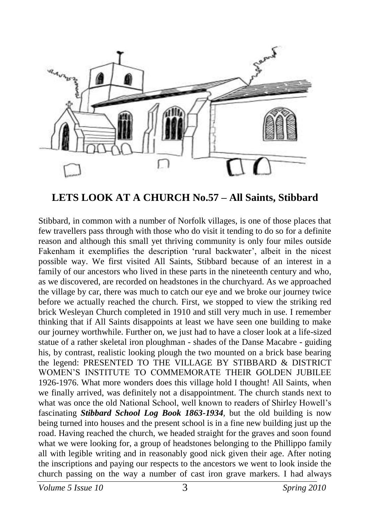

#### **LETS LOOK AT A CHURCH No.57 – All Saints, Stibbard**

Stibbard, in common with a number of Norfolk villages, is one of those places that few travellers pass through with those who do visit it tending to do so for a definite reason and although this small yet thriving community is only four miles outside Fakenham it exemplifies the description 'rural backwater', albeit in the nicest possible way. We first visited All Saints, Stibbard because of an interest in a family of our ancestors who lived in these parts in the nineteenth century and who, as we discovered, are recorded on headstones in the churchyard. As we approached the village by car, there was much to catch our eye and we broke our journey twice before we actually reached the church. First, we stopped to view the striking red brick Wesleyan Church completed in 1910 and still very much in use. I remember thinking that if All Saints disappoints at least we have seen one building to make our journey worthwhile. Further on, we just had to have a closer look at a life-sized statue of a rather skeletal iron ploughman - shades of the Danse Macabre - guiding his, by contrast, realistic looking plough the two mounted on a brick base bearing the legend: PRESENTED TO THE VILLAGE BY STIBBARD & DISTRICT WOMEN'S INSTITUTE TO COMMEMORATE THEIR GOLDEN JUBILEE 1926-1976. What more wonders does this village hold I thought! All Saints, when we finally arrived, was definitely not a disappointment. The church stands next to what was once the old National School, well known to readers of Shirley Howell's fascinating *Stibbard School Log Book 1863-1934,* but the old building is now being turned into houses and the present school is in a fine new building just up the road. Having reached the church, we headed straight for the graves and soon found what we were looking for, a group of headstones belonging to the Phillippo family all with legible writing and in reasonably good nick given their age. After noting the inscriptions and paying our respects to the ancestors we went to look inside the church passing on the way a number of cast iron grave markers. I had always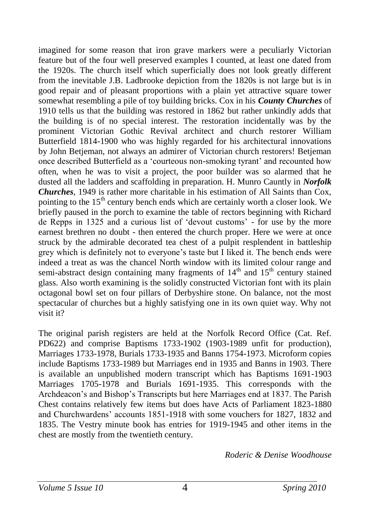imagined for some reason that iron grave markers were a peculiarly Victorian feature but of the four well preserved examples I counted, at least one dated from the 1920s. The church itself which superficially does not look greatly different from the inevitable J.B. Ladbrooke depiction from the 1820s is not large but is in good repair and of pleasant proportions with a plain yet attractive square tower somewhat resembling a pile of toy building bricks. Cox in his *County Churches* of 1910 tells us that the building was restored in 1862 but rather unkindly adds that the building is of no special interest. The restoration incidentally was by the prominent Victorian Gothic Revival architect and church restorer William Butterfield 1814-1900 who was highly regarded for his architectural innovations by John Betjeman, not always an admirer of Victorian church restorers! Betjeman once described Butterfield as a 'courteous non-smoking tyrant' and recounted how often, when he was to visit a project, the poor builder was so alarmed that he dusted all the ladders and scaffolding in preparation. H. Munro Cauntly in *Norfolk Churches*, 1949 is rather more charitable in his estimation of All Saints than Cox, pointing to the 15<sup>th</sup> century bench ends which are certainly worth a closer look. We briefly paused in the porch to examine the table of rectors beginning with Richard de Repps in 1325 and a curious list of 'devout customs' - for use by the more earnest brethren no doubt - then entered the church proper. Here we were at once struck by the admirable decorated tea chest of a pulpit resplendent in battleship grey which is definitely not to everyone's taste but I liked it. The bench ends were indeed a treat as was the chancel North window with its limited colour range and semi-abstract design containing many fragments of  $14<sup>th</sup>$  and  $15<sup>th</sup>$  century stained glass. Also worth examining is the solidly constructed Victorian font with its plain octagonal bowl set on four pillars of Derbyshire stone. On balance, not the most spectacular of churches but a highly satisfying one in its own quiet way. Why not visit it?

The original parish registers are held at the Norfolk Record Office (Cat. Ref. PD622) and comprise Baptisms 1733-1902 (1903-1989 unfit for production), Marriages 1733-1978, Burials 1733-1935 and Banns 1754-1973. Microform copies include Baptisms 1733-1989 but Marriages end in 1935 and Banns in 1903. There is available an unpublished modern transcript which has Baptisms 1691-1903 Marriages 1705-1978 and Burials 1691-1935. This corresponds with the Archdeacon's and Bishop's Transcripts but here Marriages end at 1837. The Parish Chest contains relatively few items but does have Acts of Parliament 1823-1880 and Churchwardens' accounts 1851-1918 with some vouchers for 1827, 1832 and 1835. The Vestry minute book has entries for 1919-1945 and other items in the chest are mostly from the twentieth century.

*Roderic & Denise Woodhouse*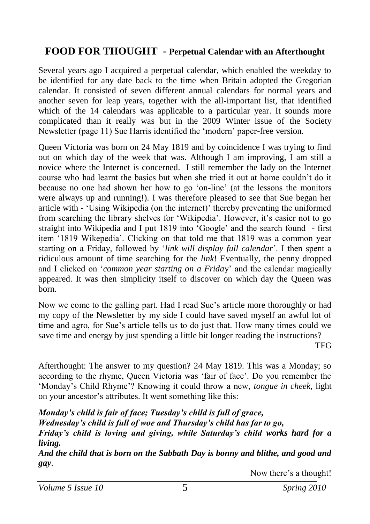#### **FOOD FOR THOUGHT - Perpetual Calendar with an Afterthought**

Several years ago I acquired a perpetual calendar, which enabled the weekday to be identified for any date back to the time when Britain adopted the Gregorian calendar. It consisted of seven different annual calendars for normal years and another seven for leap years, together with the all-important list, that identified which of the 14 calendars was applicable to a particular year. It sounds more complicated than it really was but in the 2009 Winter issue of the Society Newsletter (page 11) Sue Harris identified the 'modern' paper-free version.

Queen Victoria was born on 24 May 1819 and by coincidence I was trying to find out on which day of the week that was. Although I am improving, I am still a novice where the Internet is concerned. I still remember the lady on the Internet course who had learnt the basics but when she tried it out at home couldn't do it because no one had shown her how to go 'on-line' (at the lessons the monitors were always up and running!). I was therefore pleased to see that Sue began her article with - 'Using Wikipedia (on the internet)' thereby preventing the uniformed from searching the library shelves for 'Wikipedia'. However, it's easier not to go straight into Wikipedia and I put 1819 into 'Google' and the search found - first item '1819 Wikepedia'. Clicking on that told me that 1819 was a common year starting on a Friday, followed by '*link will display full calendar*'. I then spent a ridiculous amount of time searching for the *link*! Eventually, the penny dropped and I clicked on '*common year starting on a Frida*y' and the calendar magically appeared. It was then simplicity itself to discover on which day the Queen was born.

Now we come to the galling part. Had I read Sue's article more thoroughly or had my copy of the Newsletter by my side I could have saved myself an awful lot of time and agro, for Sue's article tells us to do just that. How many times could we save time and energy by just spending a little bit longer reading the instructions?

TFG

Afterthought: The answer to my question? 24 May 1819. This was a Monday; so according to the rhyme, Queen Victoria was 'fair of face'. Do you remember the 'Monday's Child Rhyme'? Knowing it could throw a new, *tongue in cheek*, light on your ancestor's attributes. It went something like this:

*Monday's child is fair of face; Tuesday's child is full of grace, Wednesday's child is full of woe and Thursday's child has far to go, Friday's child is loving and giving, while Saturday's child works hard for a living.* 

*And the child that is born on the Sabbath Day is bonny and blithe, and good and gay*.

Now there's a thought!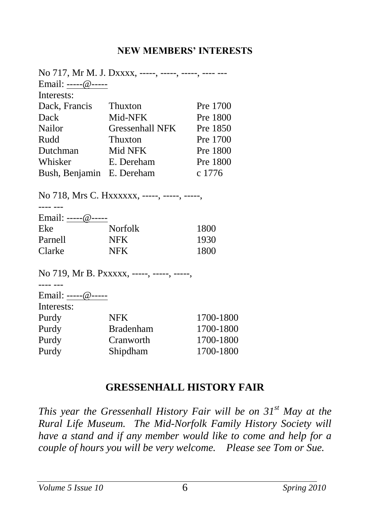#### **NEW MEMBERS' INTERESTS**

|                    | No 717, Mr M. J. Dxxxx, -----, -----, -----, ----- --- |          |
|--------------------|--------------------------------------------------------|----------|
| Email: -----@----- |                                                        |          |
| Interests:         |                                                        |          |
| Dack, Francis      | Thuxton                                                | Pre 1700 |
| Dack               | Mid-NFK                                                | Pre 1800 |
| Nailor             | Gressenhall NFK                                        | Pre 1850 |
| Rudd               | Thuxton                                                | Pre 1700 |
| Dutchman           | Mid NFK                                                | Pre 1800 |
| Whisker            | E. Dereham                                             | Pre 1800 |
| Bush, Benjamin     | E. Dereham                                             | c 1776   |
|                    |                                                        |          |

No 718, Mrs C. Hxxxxxx, -----, -----, -----,

| <b>Norfolk</b> | 1800               |
|----------------|--------------------|
| <b>NFK</b>     | 1930               |
| <b>NFK</b>     | 1800               |
|                | Email: -----@----- |

No 719, Mr B. Pxxxxx, -----, -----, -----,

---- ---

|             | Email: -----@----- |
|-------------|--------------------|
| Takana akai |                    |

| meresis: |                  |           |
|----------|------------------|-----------|
| Purdy    | NFK.             | 1700-1800 |
| Purdy    | <b>Bradenham</b> | 1700-1800 |
| Purdy    | Cranworth        | 1700-1800 |
| Purdy    | Shipdham         | 1700-1800 |
|          |                  |           |

#### **GRESSENHALL HISTORY FAIR**

*This year the Gressenhall History Fair will be on 31st May at the Rural Life Museum. The Mid-Norfolk Family History Society will have a stand and if any member would like to come and help for a couple of hours you will be very welcome. Please see Tom or Sue.*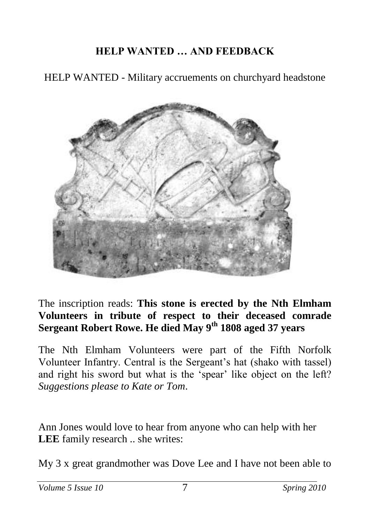## **HELP WANTED … AND FEEDBACK**

HELP WANTED - Military accruements on churchyard headstone



The inscription reads: **This stone is erected by the Nth Elmham Volunteers in tribute of respect to their deceased comrade Sergeant Robert Rowe. He died May 9th 1808 aged 37 years**

The Nth Elmham Volunteers were part of the Fifth Norfolk Volunteer Infantry. Central is the Sergeant's hat (shako with tassel) and right his sword but what is the 'spear' like object on the left? *Suggestions please to Kate or Tom*.

Ann Jones would love to hear from anyone who can help with her **LEE** family research .. she writes:

My 3 x great grandmother was Dove Lee and I have not been able to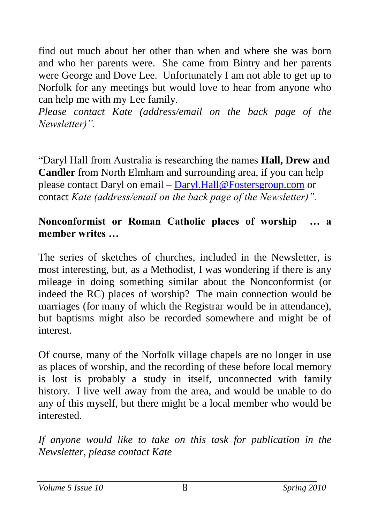find out much about her other than when and where she was born and who her parents were. She came from Bintry and her parents were George and Dove Lee. Unfortunately I am not able to get up to Norfolk for any meetings but would love to hear from anyone who can help me with my Lee family.

*Please contact Kate (address/email on the back page of the Newsletter)".*

"Daryl Hall from Australia is researching the names **Hall, Drew and Candler** from North Elmham and surrounding area, if you can help please contact Daryl on email – [Daryl.Hall@Fostersgroup.com](mailto:Daryl.Hall@Fostersgroup.com) or contact *Kate (address/email on the back page of the Newsletter)".*

#### **Nonconformist or Roman Catholic places of worship … a member writes …**

The series of sketches of churches, included in the Newsletter, is most interesting, but, as a Methodist, I was wondering if there is any mileage in doing something similar about the Nonconformist (or indeed the RC) places of worship? The main connection would be marriages (for many of which the Registrar would be in attendance), but baptisms might also be recorded somewhere and might be of interest.

Of course, many of the Norfolk village chapels are no longer in use as places of worship, and the recording of these before local memory is lost is probably a study in itself, unconnected with family history. I live well away from the area, and would be unable to do any of this myself, but there might be a local member who would be interested.

*If anyone would like to take on this task for publication in the Newsletter, please contact Kate*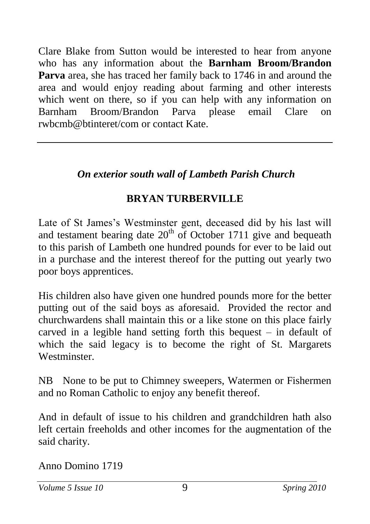Clare Blake from Sutton would be interested to hear from anyone who has any information about the **Barnham Broom/Brandon Parva** area, she has traced her family back to 1746 in and around the area and would enjoy reading about farming and other interests which went on there, so if you can help with any information on Barnham Broom/Brandon Parva please email Clare on rwbcmb@btinteret/com or contact Kate.

## *On exterior south wall of Lambeth Parish Church*

## **BRYAN TURBERVILLE**

Late of St James's Westminster gent, deceased did by his last will and testament bearing date  $20<sup>th</sup>$  of October 1711 give and bequeath to this parish of Lambeth one hundred pounds for ever to be laid out in a purchase and the interest thereof for the putting out yearly two poor boys apprentices.

His children also have given one hundred pounds more for the better putting out of the said boys as aforesaid. Provided the rector and churchwardens shall maintain this or a like stone on this place fairly carved in a legible hand setting forth this bequest – in default of which the said legacy is to become the right of St. Margarets **Westminster** 

NB None to be put to Chimney sweepers, Watermen or Fishermen and no Roman Catholic to enjoy any benefit thereof.

And in default of issue to his children and grandchildren hath also left certain freeholds and other incomes for the augmentation of the said charity.

Anno Domino 1719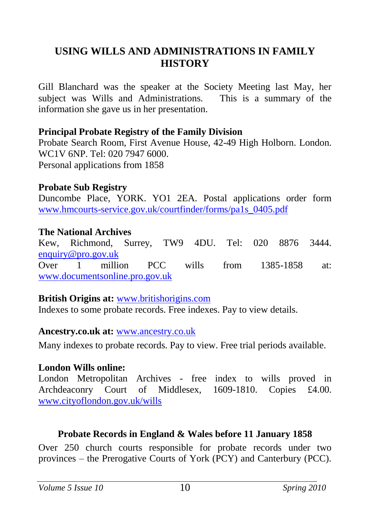#### **USING WILLS AND ADMINISTRATIONS IN FAMILY HISTORY**

Gill Blanchard was the speaker at the Society Meeting last May, her subject was Wills and Administrations. This is a summary of the information she gave us in her presentation.

#### **Principal Probate Registry of the Family Division**

Probate Search Room, First Avenue House, 42-49 High Holborn. London. WC1V 6NP. Tel: 020 7947 6000. Personal applications from 1858

#### **Probate Sub Registry**

Duncombe Place, YORK. YO1 2EA. Postal applications order form [www.hmcourts-service.gov.uk/courtfinder/forms/pa1s\\_0405.pdf](http://www.hmcourts-service.gov.uk/courtfinder/forms/pa1s_0405.pdf)

#### **The National Archives**

Kew, Richmond, Surrey, TW9 4DU. Tel: 020 8876 3444. [enquiry@pro.gov.uk](mailto:enquiry@pro.gov.uk) Over 1 million PCC wills from 1385-1858 at: [www.documentsonline.pro.gov.uk](http://www.documentsonline.pro.gov.uk/)

#### **British Origins at:** [www.britishorigins.com](http://www.britishorigins.com/)

Indexes to some probate records. Free indexes. Pay to view details.

#### **Ancestry.co.uk at:** [www.ancestry.co.uk](http://www.ancestry.co.uk/)

Many indexes to probate records. Pay to view. Free trial periods available.

#### **London Wills online:**

London Metropolitan Archives - free index to wills proved in Archdeaconry Court of Middlesex, 1609-1810. Copies £4.00. [www.cityoflondon.gov.uk/wills](http://www.cityoflondon.gov.uk/wills)

#### **Probate Records in England & Wales before 11 January 1858**

Over 250 church courts responsible for probate records under two provinces – the Prerogative Courts of York (PCY) and Canterbury (PCC).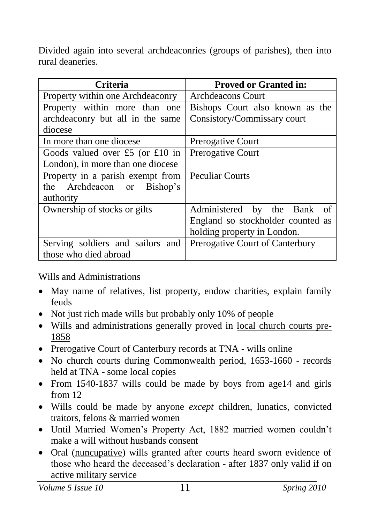Divided again into several archdeaconries (groups of parishes), then into rural deaneries.

| <b>Criteria</b>                   | <b>Proved or Granted in:</b>      |
|-----------------------------------|-----------------------------------|
| Property within one Archdeaconry  | Archdeacons Court                 |
| Property within more than one     | Bishops Court also known as the   |
| archdeaconry but all in the same  | Consistory/Commissary court       |
| diocese                           |                                   |
| In more than one diocese          | <b>Prerogative Court</b>          |
| Goods valued over £5 (or £10 in   | Prerogative Court                 |
| London), in more than one diocese |                                   |
| Property in a parish exempt from  | <b>Peculiar Courts</b>            |
| the Archdeacon or Bishop's        |                                   |
| authority                         |                                   |
| Ownership of stocks or gilts      | Administered by the Bank of       |
|                                   | England so stockholder counted as |
|                                   | holding property in London.       |
| Serving soldiers and sailors and  | Prerogative Court of Canterbury   |
| those who died abroad             |                                   |

Wills and Administrations

- May name of relatives, list property, endow charities, explain family feuds
- Not just rich made wills but probably only 10% of people
- Wills and administrations generally proved in local church courts pre-1858
- Prerogative Court of Canterbury records at TNA wills online
- No church courts during Commonwealth period, 1653-1660 records held at TNA - some local copies
- From 1540-1837 wills could be made by boys from age14 and girls from 12
- Wills could be made by anyone *except* children, lunatics, convicted traitors, felons & married women
- Until Married Women's Property Act, 1882 married women couldn't make a will without husbands consent
- Oral (nuncupative) wills granted after courts heard sworn evidence of those who heard the deceased's declaration - after 1837 only valid if on active military service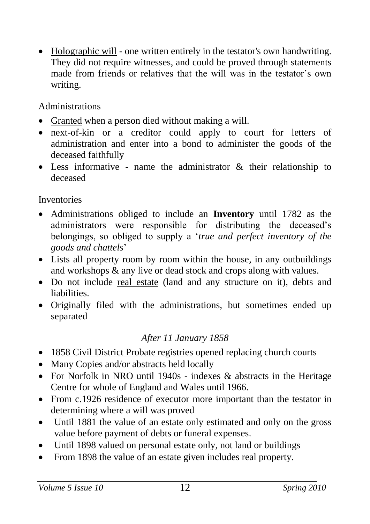• Holographic will - one written entirely in the testator's own handwriting. They did not require witnesses, and could be proved through statements made from friends or relatives that the will was in the testator's own writing.

Administrations

- Granted when a person died without making a will.
- next-of-kin or a creditor could apply to court for letters of administration and enter into a bond to administer the goods of the deceased faithfully
- Less informative name the administrator & their relationship to deceased

**Inventories** 

- Administrations obliged to include an **Inventory** until 1782 as the administrators were responsible for distributing the deceased's belongings, so obliged to supply a '*true and perfect inventory of the goods and chattels*'
- Lists all property room by room within the house, in any outbuildings and workshops & any live or dead stock and crops along with values.
- Do not include real estate (land and any structure on it), debts and liabilities.
- Originally filed with the administrations, but sometimes ended up separated

#### *After 11 January 1858*

- 1858 Civil District Probate registries opened replacing church courts
- Many Copies and/or abstracts held locally
- For Norfolk in NRO until 1940s indexes & abstracts in the Heritage Centre for whole of England and Wales until 1966.
- From c.1926 residence of executor more important than the testator in determining where a will was proved
- Until 1881 the value of an estate only estimated and only on the gross value before payment of debts or funeral expenses.
- Until 1898 valued on personal estate only, not land or buildings
- From 1898 the value of an estate given includes real property.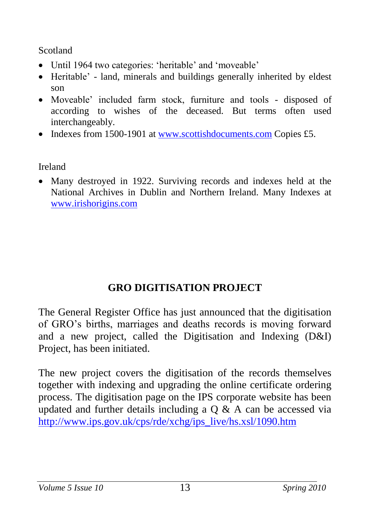Scotland

- Until 1964 two categories: 'heritable' and 'moveable'
- Heritable' land, minerals and buildings generally inherited by eldest son
- Moveable' included farm stock, furniture and tools disposed of according to wishes of the deceased. But terms often used interchangeably.
- Indexes from 1500-1901 at [www.scottishdocuments.com](http://www.scottishdocuments.com/) Copies £5.

Ireland

 Many destroyed in 1922. Surviving records and indexes held at the National Archives in Dublin and Northern Ireland. Many Indexes at [www.irishorigins.com](http://www.irishorigins.com/)

## **GRO DIGITISATION PROJECT**

The General Register Office has just announced that the digitisation of GRO's births, marriages and deaths records is moving forward and a new project, called the Digitisation and Indexing (D&I) Project, has been initiated.

The new project covers the digitisation of the records themselves together with indexing and upgrading the online certificate ordering process. The digitisation page on the IPS corporate website has been updated and further details including a  $\overline{O}$  & A can be accessed via [http://www.ips.gov.uk/cps/rde/xchg/ips\\_live/hs.xsl/1090.htm](http://www.ips.gov.uk/cps/rde/xchg/ips_live/hs.xsl/1090.htm)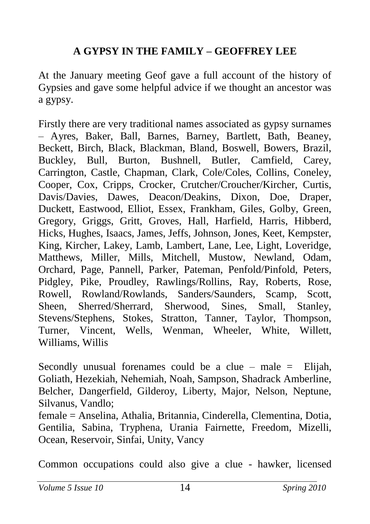## **A GYPSY IN THE FAMILY – GEOFFREY LEE**

At the January meeting Geof gave a full account of the history of Gypsies and gave some helpful advice if we thought an ancestor was a gypsy.

Firstly there are very traditional names associated as gypsy surnames – Ayres, Baker, Ball, Barnes, Barney, Bartlett, Bath, Beaney, Beckett, Birch, Black, Blackman, Bland, Boswell, Bowers, Brazil, Buckley, Bull, Burton, Bushnell, Butler, Camfield, Carey, Carrington, Castle, Chapman, Clark, Cole/Coles, Collins, Coneley, Cooper, Cox, Cripps, Crocker, Crutcher/Croucher/Kircher, Curtis, Davis/Davies, Dawes, Deacon/Deakins, Dixon, Doe, Draper, Duckett, Eastwood, Elliot, Essex, Frankham, Giles, Golby, Green, Gregory, Griggs, Gritt, Groves, Hall, Harfield, Harris, Hibberd, Hicks, Hughes, Isaacs, James, Jeffs, Johnson, Jones, Keet, Kempster, King, Kircher, Lakey, Lamb, Lambert, Lane, Lee, Light, Loveridge, Matthews, Miller, Mills, Mitchell, Mustow, Newland, Odam, Orchard, Page, Pannell, Parker, Pateman, Penfold/Pinfold, Peters, Pidgley, Pike, Proudley, Rawlings/Rollins, Ray, Roberts, Rose, Rowell, Rowland/Rowlands, Sanders/Saunders, Scamp, Scott, Sheen, Sherred/Sherrard, Sherwood, Sines, Small, Stanley, Stevens/Stephens, Stokes, Stratton, Tanner, Taylor, Thompson, Turner, Vincent, Wells, Wenman, Wheeler, White, Willett, Williams, Willis

Secondly unusual forenames could be a clue – male  $=$  Elijah, Goliath, Hezekiah, Nehemiah, Noah, Sampson, Shadrack Amberline, Belcher, Dangerfield, Gilderoy, Liberty, Major, Nelson, Neptune, Silvanus, Vandlo;

female = Anselina, Athalia, Britannia, Cinderella, Clementina, Dotia, Gentilia, Sabina, Tryphena, Urania Fairnette, Freedom, Mizelli, Ocean, Reservoir, Sinfai, Unity, Vancy

Common occupations could also give a clue - hawker, licensed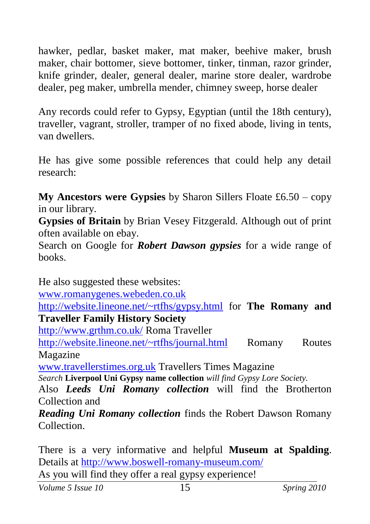hawker, pedlar, basket maker, mat maker, beehive maker, brush maker, chair bottomer, sieve bottomer, tinker, tinman, razor grinder, knife grinder, dealer, general dealer, marine store dealer, wardrobe dealer, peg maker, umbrella mender, chimney sweep, horse dealer

Any records could refer to Gypsy, Egyptian (until the 18th century), traveller, vagrant, stroller, tramper of no fixed abode, living in tents, van dwellers.

He has give some possible references that could help any detail research:

**My Ancestors were Gypsies** by Sharon Sillers Floate £6.50 – copy in our library.

**Gypsies of Britain** by Brian Vesey Fitzgerald. Although out of print often available on ebay.

Search on Google for *Robert Dawson gypsies* for a wide range of books.

He also suggested these websites:

[www.romanygenes.webeden.co.uk](http://www.romanygenes.webeden.co.uk/)

<http://website.lineone.net/~rtfhs/gypsy.html> for **The Romany and Traveller Family History Society**

<http://www.grthm.co.uk/> Roma Traveller

<http://website.lineone.net/~rtfhs/journal.html> Romany Routes Magazine

[www.travellerstimes.org.uk](http://www.travellerstimes.org.uk/) Travellers Times Magazine

*Search* **Liverpool Uni Gypsy name collection** *will find Gypsy Lore Society.*

Also *Leeds Uni Romany collection* will find the Brotherton Collection and

*Reading Uni Romany collection* finds the Robert Dawson Romany Collection.

There is a very informative and helpful **Museum at Spalding**. Details at<http://www.boswell-romany-museum.com/> As you will find they offer a real gypsy experience!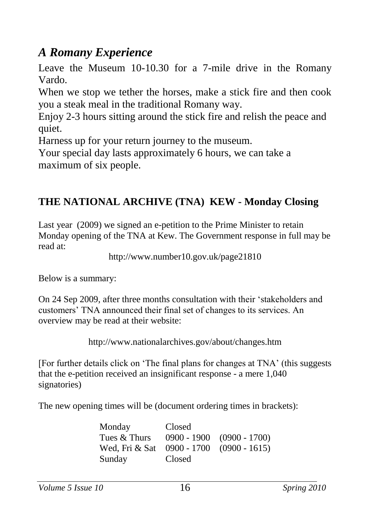## *A Romany Experience*

Leave the Museum 10-10.30 for a 7-mile drive in the Romany Vardo.

When we stop we tether the horses, make a stick fire and then cook you a steak meal in the traditional Romany way.

Enjoy 2-3 hours sitting around the stick fire and relish the peace and quiet.

Harness up for your return journey to the museum.

Your special day lasts approximately 6 hours, we can take a maximum of six people.

## **THE NATIONAL ARCHIVE (TNA) KEW - Monday Closing**

Last year (2009) we signed an e-petition to the Prime Minister to retain Monday opening of the TNA at Kew. The Government response in full may be read at:

http://www.number10.gov.uk/page21810

Below is a summary:

On 24 Sep 2009, after three months consultation with their 'stakeholders and customers' TNA announced their final set of changes to its services. An overview may be read at their website:

http://www.nationalarchives.gov/about/changes.htm

[For further details click on 'The final plans for changes at TNA' (this suggests that the e-petition received an insignificant response - a mere 1,040 signatories)

The new opening times will be (document ordering times in brackets):

| Monday         | Closed |                               |
|----------------|--------|-------------------------------|
| Tues & Thurs   |        | $0900 - 1900$ $(0900 - 1700)$ |
| Wed. Fri & Sat |        | $0900 - 1700$ $(0900 - 1615)$ |
| Sunday         | Closed |                               |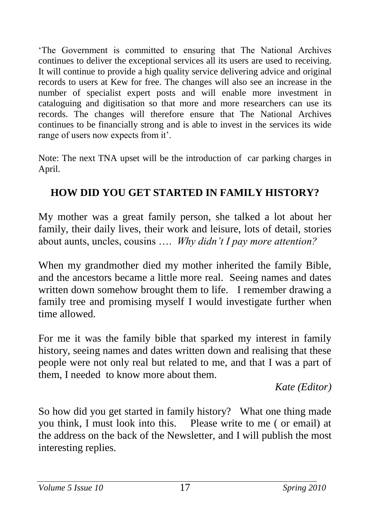'The Government is committed to ensuring that The National Archives continues to deliver the exceptional services all its users are used to receiving. It will continue to provide a high quality service delivering advice and original records to users at Kew for free. The changes will also see an increase in the number of specialist expert posts and will enable more investment in cataloguing and digitisation so that more and more researchers can use its records. The changes will therefore ensure that The National Archives continues to be financially strong and is able to invest in the services its wide range of users now expects from it'.

Note: The next TNA upset will be the introduction of car parking charges in April.

## **HOW DID YOU GET STARTED IN FAMILY HISTORY?**

My mother was a great family person, she talked a lot about her family, their daily lives, their work and leisure, lots of detail, stories about aunts, uncles, cousins …. *Why didn't I pay more attention?*

When my grandmother died my mother inherited the family Bible, and the ancestors became a little more real. Seeing names and dates written down somehow brought them to life. I remember drawing a family tree and promising myself I would investigate further when time allowed.

For me it was the family bible that sparked my interest in family history, seeing names and dates written down and realising that these people were not only real but related to me, and that I was a part of them, I needed to know more about them.

*Kate (Editor)*

So how did you get started in family history? What one thing made you think, I must look into this. Please write to me ( or email) at the address on the back of the Newsletter, and I will publish the most interesting replies.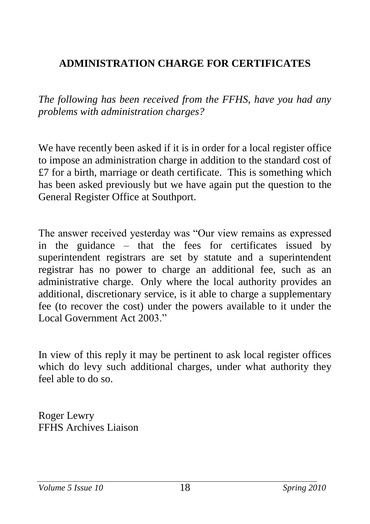## **ADMINISTRATION CHARGE FOR CERTIFICATES**

*The following has been received from the FFHS, have you had any problems with administration charges?*

We have recently been asked if it is in order for a local register office to impose an administration charge in addition to the standard cost of  $£7$  for a birth, marriage or death certificate. This is something which has been asked previously but we have again put the question to the General Register Office at Southport.

The answer received yesterday was "Our view remains as expressed in the guidance – that the fees for certificates issued by superintendent registrars are set by statute and a superintendent registrar has no power to charge an additional fee, such as an administrative charge. Only where the local authority provides an additional, discretionary service, is it able to charge a supplementary fee (to recover the cost) under the powers available to it under the Local Government Act 2003<sup>"</sup>

In view of this reply it may be pertinent to ask local register offices which do levy such additional charges, under what authority they feel able to do so.

Roger Lewry FFHS Archives Liaison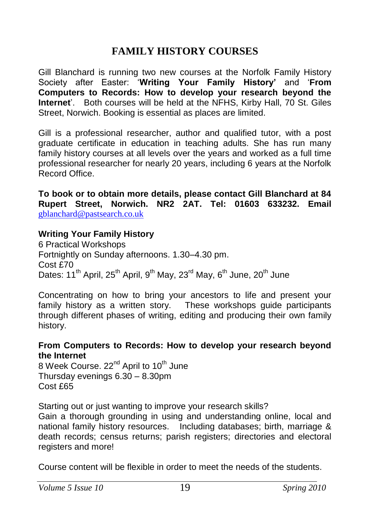### **FAMILY HISTORY COURSES**

Gill Blanchard is running two new courses at the Norfolk Family History Society after Easter: '**Writing Your Family History'** and '**From Computers to Records: How to develop your research beyond the Internet**'. Both courses will be held at the NFHS, Kirby Hall, 70 St. Giles Street, Norwich. Booking is essential as places are limited.

Gill is a professional researcher, author and qualified tutor, with a post graduate certificate in education in teaching adults. She has run many family history courses at all levels over the years and worked as a full time professional researcher for nearly 20 years, including 6 years at the Norfolk Record Office.

**To book or to obtain more details, please contact Gill Blanchard at 84 Rupert Street, Norwich. NR2 2AT. Tel: 01603 633232. Email**  [gblanchard@pastsearch.co.uk](mailto:gblanchard@pastsearch.co.uk)

#### **Writing Your Family History**

6 Practical Workshops Fortnightly on Sunday afternoons. 1.30–4.30 pm. Cost £70 Dates: 11<sup>th</sup> April, 25<sup>th</sup> April, 9<sup>th</sup> May, 23<sup>rd</sup> May, 6<sup>th</sup> June, 20<sup>th</sup> June

Concentrating on how to bring your ancestors to life and present your family history as a written story. These workshops guide participants through different phases of writing, editing and producing their own family history.

#### **From Computers to Records: How to develop your research beyond the Internet**

8 Week Course. 22<sup>nd</sup> April to 10<sup>th</sup> June Thursday evenings  $6.30 - 8.30$ pm Cost £65

Starting out or just wanting to improve your research skills?

Gain a thorough grounding in using and understanding online, local and national family history resources. Including databases; birth, marriage & death records; census returns; parish registers; directories and electoral registers and more!

Course content will be flexible in order to meet the needs of the students.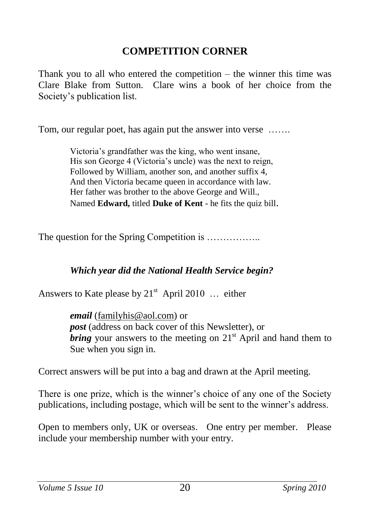#### **COMPETITION CORNER**

Thank you to all who entered the competition – the winner this time was Clare Blake from Sutton. Clare wins a book of her choice from the Society's publication list.

Tom, our regular poet, has again put the answer into verse …….

Victoria's grandfather was the king, who went insane, His son George 4 (Victoria's uncle) was the next to reign, Followed by William, another son, and another suffix 4, And then Victoria became queen in accordance with law. Her father was brother to the above George and Will., Named **Edward,** titled **Duke of Kent** - he fits the quiz bill.

The question for the Spring Competition is ..................

#### *Which year did the National Health Service begin?*

Answers to Kate please by  $21<sup>st</sup>$  April 2010 ... either

*email* [\(familyhis@aol.com\)](mailto:familyhis@aol.com) or *post* (address on back cover of this Newsletter), or *bring* your answers to the meeting on 21<sup>st</sup> April and hand them to Sue when you sign in.

Correct answers will be put into a bag and drawn at the April meeting.

There is one prize, which is the winner's choice of any one of the Society publications, including postage, which will be sent to the winner's address.

Open to members only, UK or overseas. One entry per member. Please include your membership number with your entry.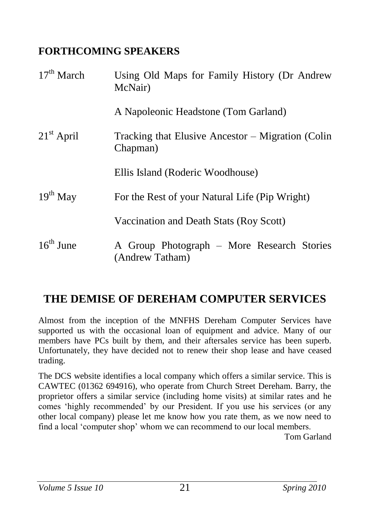### **FORTHCOMING SPEAKERS**

| $17th$ March          | Using Old Maps for Family History (Dr Andrew<br>McNair)       |
|-----------------------|---------------------------------------------------------------|
|                       | A Napoleonic Headstone (Tom Garland)                          |
| $21st$ April          | Tracking that Elusive Ancestor – Migration (Colin<br>Chapman) |
|                       | Ellis Island (Roderic Woodhouse)                              |
| $19th$ May            | For the Rest of your Natural Life (Pip Wright)                |
|                       | Vaccination and Death Stats (Roy Scott)                       |
| $16^{\text{th}}$ June | A Group Photograph – More Research Stories<br>(Andrew Tatham) |

## **THE DEMISE OF DEREHAM COMPUTER SERVICES**

Almost from the inception of the MNFHS Dereham Computer Services have supported us with the occasional loan of equipment and advice. Many of our members have PCs built by them, and their aftersales service has been superb. Unfortunately, they have decided not to renew their shop lease and have ceased trading.

The DCS website identifies a local company which offers a similar service. This is CAWTEC (01362 694916), who operate from Church Street Dereham. Barry, the proprietor offers a similar service (including home visits) at similar rates and he comes 'highly recommended' by our President. If you use his services (or any other local company) please let me know how you rate them, as we now need to find a local 'computer shop' whom we can recommend to our local members.

Tom Garland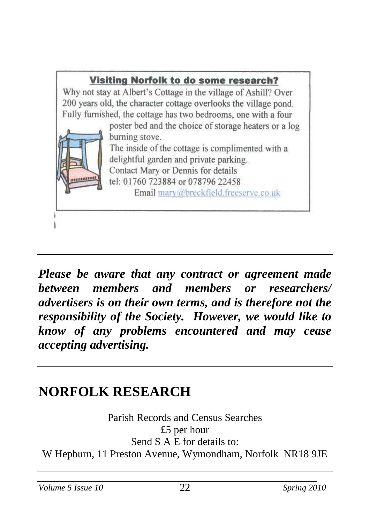

*Please be aware that any contract or agreement made between members and members or researchers/ advertisers is on their own terms, and is therefore not the responsibility of the Society. However, we would like to know of any problems encountered and may cease accepting advertising.*

## **NORFOLK RESEARCH**

Parish Records and Census Searches £5 per hour Send S A E for details to: W Hepburn, 11 Preston Avenue, Wymondham, Norfolk NR18 9JE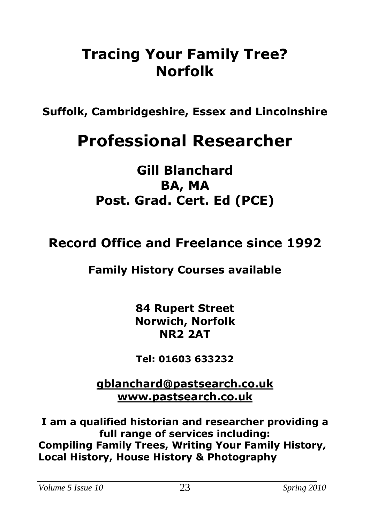## **Tracing Your Family Tree? Norfolk**

**Suffolk, Cambridgeshire, Essex and Lincolnshire**

# **Professional Researcher**

**Gill Blanchard BA, MA Post. Grad. Cert. Ed (PCE)**

## **Record Office and Freelance since 1992**

## **Family History Courses available**

**84 Rupert Street Norwich, Norfolk NR2 2AT**

**Tel: 01603 633232**

**[gblanchard@pastsearch.co.uk](mailto:gblanchard@pastsearch.co.uk) [www.pastsearch.co.uk](http://www.pastsearch.co.uk/)**

**I am a qualified historian and researcher providing a full range of services including: Compiling Family Trees, Writing Your Family History, Local History, House History & Photography**